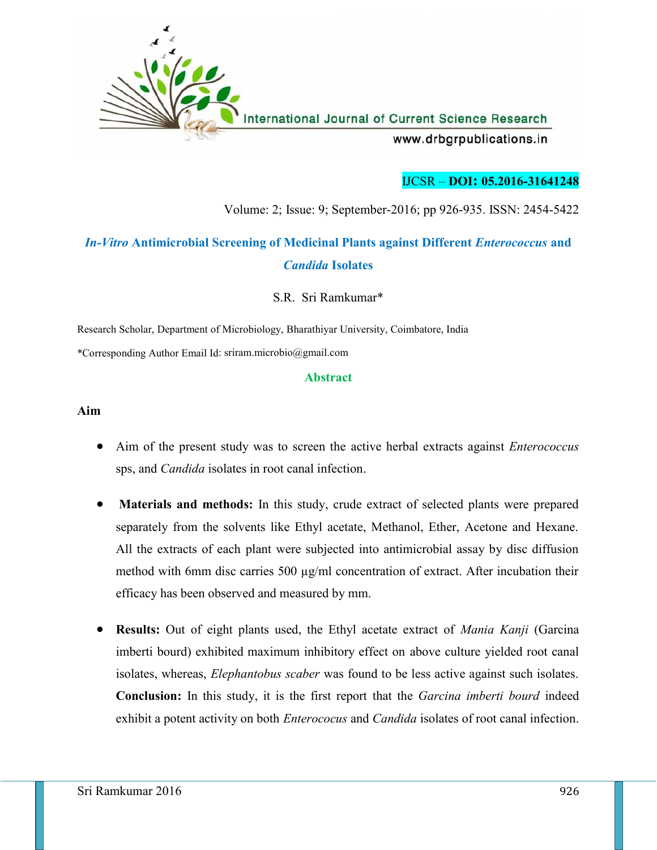

### IJCSR – **DOI: 05.2016-31641248**

Volume: 2; Issue: 9; September-2016; pp 926-935. ISSN: 2454-5422

# *In-Vitro* **Antimicrobial Screening of Medicinal Plants against Different** *Enterococcus* **and** *Candida* **Isolates**

S.R. Sri Ramkumar\*

Research Scholar, Department of Microbiology, Bharathiyar University, Coimbatore, India \*Corresponding Author Email Id: sriram.microbio@gmail.com

#### **Abstract**

#### **Aim**

- Aim of the present study was to screen the active herbal extracts against *Enterococcus* sps, and *Candida* isolates in root canal infection.
- **Materials and methods:** In this study, crude extract of selected plants were prepared separately from the solvents like Ethyl acetate, Methanol, Ether, Acetone and Hexane. All the extracts of each plant were subjected into antimicrobial assay by disc diffusion method with 6mm disc carries 500  $\mu$ g/ml concentration of extract. After incubation their efficacy has been observed and measured by mm.
- **Results:** Out of eight plants used, the Ethyl acetate extract of *Mania Kanji* (Garcina imberti bourd) exhibited maximum inhibitory effect on above culture yielded root canal isolates, whereas, *Elephantobus scaber* was found to be less active against such isolates. **Conclusion:** In this study, it is the first report that the *Garcina imberti bourd* indeed exhibit a potent activity on both *Enterococus* and *Candida* isolates of root canal infection.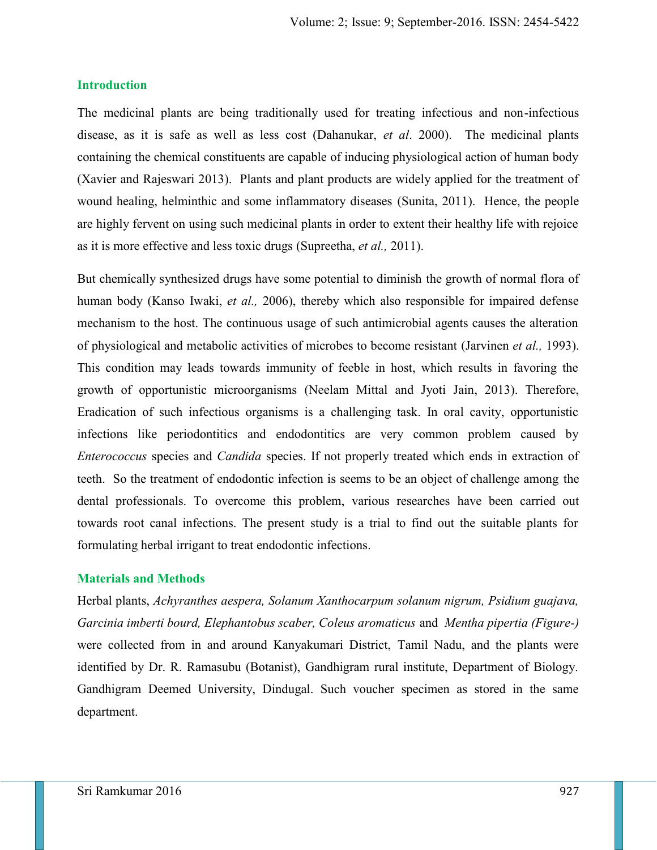#### **Introduction**

The medicinal plants are being traditionally used for treating infectious and non-infectious disease, as it is safe as well as less cost (Dahanukar, *et al*. 2000). The medicinal plants containing the chemical constituents are capable of inducing physiological action of human body (Xavier and Rajeswari 2013). Plants and plant products are widely applied for the treatment of wound healing, helminthic and some inflammatory diseases (Sunita, 2011). Hence, the people are highly fervent on using such medicinal plants in order to extent their healthy life with rejoice as it is more effective and less toxic drugs (Supreetha, *et al.,* 2011).

But chemically synthesized drugs have some potential to diminish the growth of normal flora of human body (Kanso Iwaki, *et al.,* 2006), thereby which also responsible for impaired defense mechanism to the host. The continuous usage of such antimicrobial agents causes the alteration of physiological and metabolic activities of microbes to become resistant (Jarvinen *et al.,* 1993). This condition may leads towards immunity of feeble in host, which results in favoring the growth of opportunistic microorganisms (Neelam Mittal and Jyoti Jain, 2013). Therefore, Eradication of such infectious organisms is a challenging task. In oral cavity, opportunistic infections like periodontitics and endodontitics are very common problem caused by *Enterococcus* species and *Candida* species. If not properly treated which ends in extraction of teeth. So the treatment of endodontic infection is seems to be an object of challenge among the dental professionals. To overcome this problem, various researches have been carried out towards root canal infections. The present study is a trial to find out the suitable plants for formulating herbal irrigant to treat endodontic infections.

#### **Materials and Methods**

Herbal plants, *Achyranthes aespera, Solanum Xanthocarpum solanum nigrum, Psidium guajava, Garcinia imberti bourd, Elephantobus scaber, Coleus aromaticus* and *Mentha pipertia (Figure-)* were collected from in and around Kanyakumari District, Tamil Nadu, and the plants were identified by Dr. R. Ramasubu (Botanist), Gandhigram rural institute, Department of Biology. Gandhigram Deemed University, Dindugal. Such voucher specimen as stored in the same department.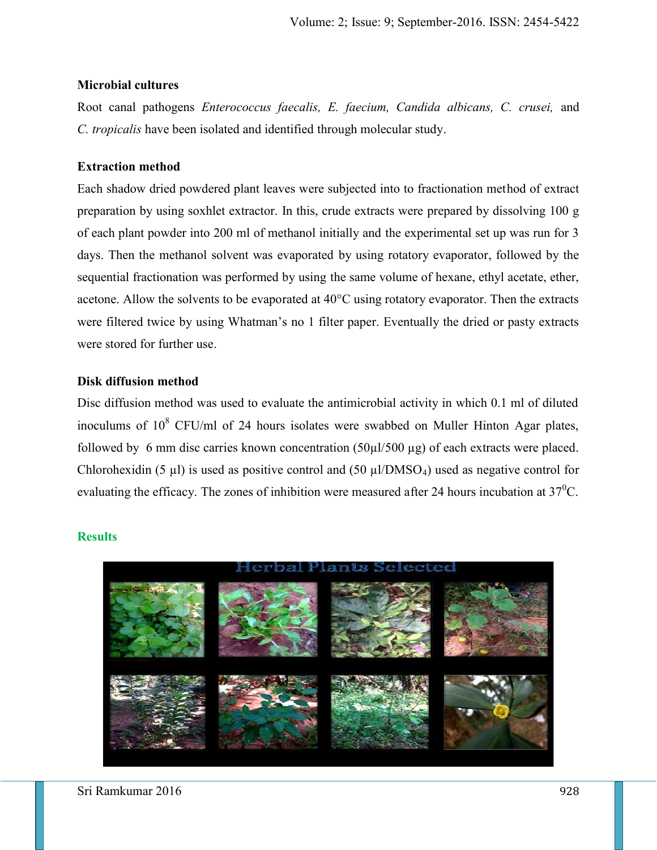### **Microbial cultures**

Root canal pathogens *Enterococcus faecalis, E. faecium, Candida albicans, C. crusei,* and *C. tropicalis* have been isolated and identified through molecular study.

### **Extraction method**

Each shadow dried powdered plant leaves were subjected into to fractionation method of extract preparation by using soxhlet extractor. In this, crude extracts were prepared by dissolving 100 g of each plant powder into 200 ml of methanol initially and the experimental set up was run for 3 days. Then the methanol solvent was evaporated by using rotatory evaporator, followed by the sequential fractionation was performed by using the same volume of hexane, ethyl acetate, ether, acetone. Allow the solvents to be evaporated at 40°C using rotatory evaporator. Then the extracts were filtered twice by using Whatman's no 1 filter paper. Eventually the dried or pasty extracts were stored for further use.

### **Disk diffusion method**

Disc diffusion method was used to evaluate the antimicrobial activity in which 0.1 ml of diluted inoculums of  $10^8$  CFU/ml of 24 hours isolates were swabbed on Muller Hinton Agar plates, followed by 6 mm disc carries known concentration  $(50\mu l/500 \mu g)$  of each extracts were placed. Chlorohexidin (5  $\mu$ ) is used as positive control and (50  $\mu$ l/DMSO<sub>4</sub>) used as negative control for evaluating the efficacy. The zones of inhibition were measured after 24 hours incubation at  $37^{\circ}$ C.



### **Results**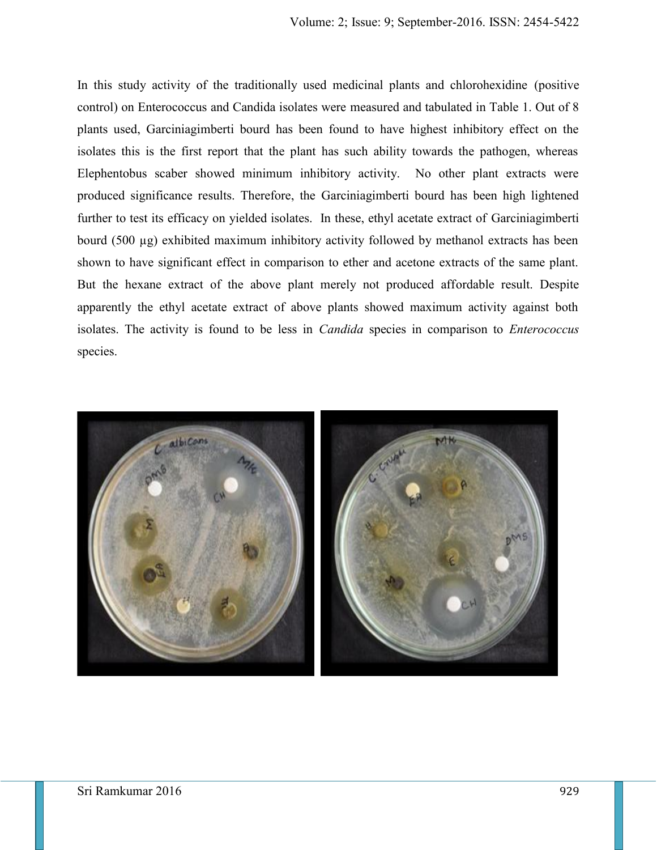In this study activity of the traditionally used medicinal plants and chlorohexidine (positive control) on Enterococcus and Candida isolates were measured and tabulated in Table 1. Out of 8 plants used, Garciniagimberti bourd has been found to have highest inhibitory effect on the isolates this is the first report that the plant has such ability towards the pathogen, whereas Elephentobus scaber showed minimum inhibitory activity. No other plant extracts were produced significance results. Therefore, the Garciniagimberti bourd has been high lightened further to test its efficacy on yielded isolates. In these, ethyl acetate extract of Garciniagimberti bourd (500 µg) exhibited maximum inhibitory activity followed by methanol extracts has been shown to have significant effect in comparison to ether and acetone extracts of the same plant. But the hexane extract of the above plant merely not produced affordable result. Despite apparently the ethyl acetate extract of above plants showed maximum activity against both isolates. The activity is found to be less in *Candida* species in comparison to *Enterococcus* species.

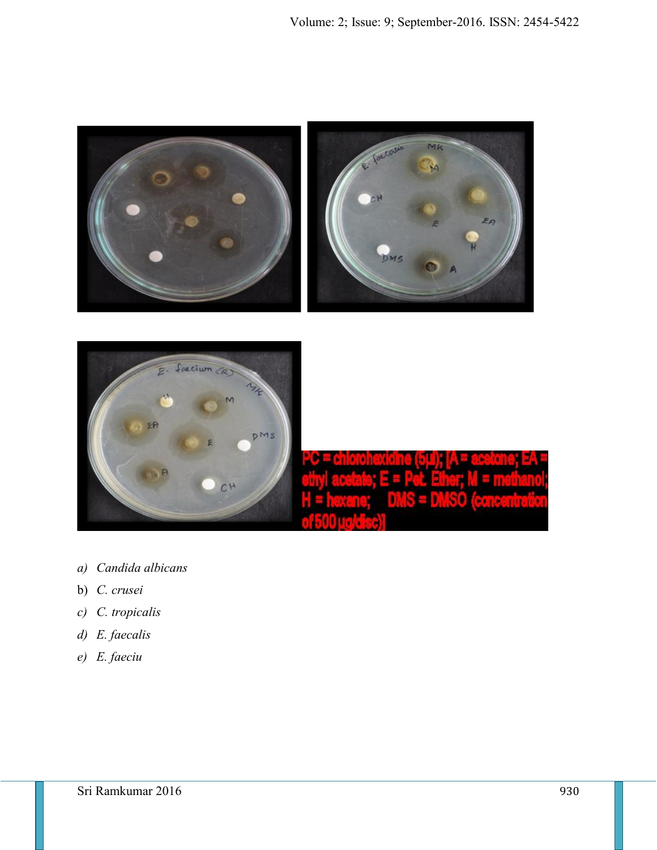



- *a) Candida albicans*
- b) *C. crusei*
- *c) C. tropicalis*
- *d) E. faecalis*
- *e) E. faeciu*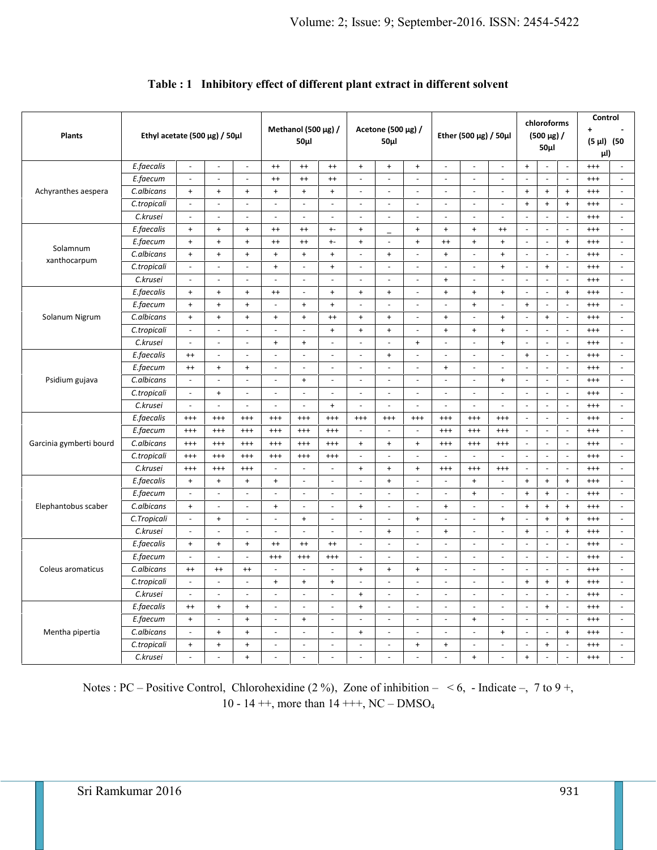| <b>Plants</b>            | Ethyl acetate (500 $\mu$ g) / 50 $\mu$ l |                          |                                  | Methanol (500 µg) /<br>$50\mu$ |                                  |                                  | Acetone (500 µg) /<br>50µl       |                                  |                          | Ether (500 $\mu$ g) / 50 $\mu$ l |                          | chloroforms<br>$(500 \mu g)$ /<br>$50\mu$ |                                  |                                  | Control<br>$\ddot{\phantom{1}}$<br>$(5 \mu l)$ (50<br>μl) |                                  |          |                          |
|--------------------------|------------------------------------------|--------------------------|----------------------------------|--------------------------------|----------------------------------|----------------------------------|----------------------------------|----------------------------------|--------------------------|----------------------------------|--------------------------|-------------------------------------------|----------------------------------|----------------------------------|-----------------------------------------------------------|----------------------------------|----------|--------------------------|
| Achyranthes aespera      | E.faecalis                               | $\blacksquare$           | $\sim$                           | $\omega$                       | $^{++}$                          | $^{++}$                          | $^{++}$                          | $\ddot{}$                        | $+$                      | $\ddot{}$                        | $\blacksquare$           | $\blacksquare$                            | $\blacksquare$                   | $\ddot{}$                        | $\blacksquare$                                            | $\omega$                         | $^{+++}$ | $\sim$                   |
|                          | E.faecum                                 | $\blacksquare$           | $\sim$                           | $\blacksquare$                 | $^{++}$                          | $^{++}$                          | $^{++}$                          | $\sim$                           | $\sim$                   | $\overline{\phantom{a}}$         | $\sim$                   | $\blacksquare$                            | $\overline{\phantom{a}}$         |                                  | $\blacksquare$                                            | $\overline{\phantom{a}}$         | $^{++}$  | $\sim$                   |
|                          | C.albicans                               | $^+$                     | $+$                              | $^+$                           | $\ddot{}$                        | $+$                              | $^+$                             | $\blacksquare$                   | $\blacksquare$           | $\blacksquare$                   | $\overline{\phantom{a}}$ | $\overline{\phantom{a}}$                  | $\overline{\phantom{a}}$         | $\bf{+}$                         | $\ddot{}$                                                 | $\begin{array}{c} + \end{array}$ | $^{+++}$ | $\blacksquare$           |
|                          | C.tropicali                              | $\blacksquare$           | $\sim$                           | $\omega$                       | $\omega$                         | $\sim$                           | $\Box$                           | $\omega$                         | $\sim$                   | $\blacksquare$                   | $\omega$                 | $\blacksquare$                            | $\overline{\phantom{a}}$         | $\,$ +                           | $\ddot{}$                                                 | $\begin{array}{c} + \end{array}$ | $^{+++}$ | $\sim$                   |
|                          | C.krusei                                 | $\blacksquare$           | $\sim$                           | $\blacksquare$                 | $\sim$                           | $\sim$                           | $\omega$                         | $\sim$                           | $\overline{a}$           | $\blacksquare$                   | $\sim$                   | $\overline{a}$                            | $\sim$                           | $\sim$                           | $\overline{\phantom{a}}$                                  | $\overline{\phantom{a}}$         | $^{+++}$ | $\sim$                   |
| Solamnum<br>xanthocarpum | E.faecalis                               | $\ddot{}$                | $\ddot{}$                        | $\ddot{}$                      | $^{++}$                          | $^{++}$                          | $+$                              | $\ddot{}$                        |                          | $\ddot{}$                        | $\ddot{}$                | $+$                                       | $^{++}$                          | $\sim$                           | $\blacksquare$                                            | $\sim$                           | $^{+++}$ | $\blacksquare$           |
|                          | E.faecum                                 | $\ddot{}$                | $\ddot{}$                        | $\ddot{}$                      | $^{++}$                          | $^{++}$                          | $+ -$                            | $\ddot{}$                        | ÷,                       | $\ddot{}$                        | $^{++}$                  | $+$                                       | $\ddot{}$                        | $\sim$                           | $\Box$                                                    | $\ddot{}$                        | $^{+++}$ | $\blacksquare$           |
|                          | C.albicans                               | $\ddot{}$                | $\ddot{}$                        | $\left. +\right.$              | $\ddot{}$                        | $\ddot{}$                        | $\begin{array}{c} + \end{array}$ | $\overline{\phantom{a}}$         | $\ddot{}$                | $\overline{\phantom{a}}$         | $+$                      | $\blacksquare$                            | $\begin{array}{c} + \end{array}$ | $\overline{\phantom{a}}$         | $\overline{\phantom{a}}$                                  | $\overline{\phantom{a}}$         | $^{+++}$ | $\overline{\phantom{a}}$ |
|                          | C.tropicali                              | $\blacksquare$           | $\sim$                           | $\blacksquare$                 | $\ddot{}$                        | $\sim$                           | $\ddot{}$                        | $\sim$                           | $\overline{a}$           | $\sim$                           | $\sim$                   | $\overline{a}$                            | $\ddot{}$                        | $\sim$                           | $\ddot{}$                                                 | $\blacksquare$                   | $^{+++}$ | $\sim$                   |
|                          | C.krusei                                 | $\blacksquare$           | $\sim$                           | $\sim$                         | $\sim$                           | $\sim$                           | $\bar{a}$                        | $\sim$                           | $\sim$                   | $\blacksquare$                   | $\ddot{}$                | $\blacksquare$                            | $\overline{\phantom{a}}$         | $\overline{\phantom{a}}$         | $\blacksquare$                                            | $\sim$                           | $^{+++}$ | $\sim$                   |
| Solanum Nigrum           | E.faecalis                               | $^+$                     | $\ddot{}$                        | $\left. +\right.$              | $^{++}$                          | $\sim$                           | $\ddot{}$                        | $\begin{array}{c} + \end{array}$ | $\ddot{}$                | $\blacksquare$                   | $\ddot{}$                | $\ddot{}$                                 | $\begin{array}{c} + \end{array}$ | $\sim$                           | $\blacksquare$                                            | $\begin{array}{c} + \end{array}$ | $^{+++}$ | $\omega$                 |
|                          | E.faecum                                 | $\ddot{}$                | $\ddot{}$                        | $\ddot{}$                      | $\sim$                           | $\ddot{}$                        | $\begin{array}{c} + \end{array}$ | $\sim$                           | ÷,                       | $\Box$                           | $\sim$                   | $\ddot{}$                                 | $\bar{\phantom{a}}$              | $\ddot{}$                        | $\Box$                                                    | $\sim$                           | $^{+++}$ | $\blacksquare$           |
|                          | C.albicans                               | $\ddot{}$                | $\ddot{}$                        | $\ddot{}$                      | $\ddot{}$                        | $\bf{+}$                         | $^{++}$                          | $\ddot{}$                        | $\ddot{}$                | $\blacksquare$                   | $\ddot{}$                | $\overline{\phantom{a}}$                  | $\ddot{}$                        | $\overline{\phantom{a}}$         | $\ddot{}$                                                 | $\overline{\phantom{a}}$         | $^{+++}$ | $\overline{\phantom{a}}$ |
|                          | C.tropicali                              | $\blacksquare$           | $\sim$                           | $\blacksquare$                 | $\blacksquare$                   | $\sim$                           | $\ddot{}$                        | $\ddot{}$                        | $\ddot{}$                | $\omega$                         | $\ddot{}$                | $\ddot{}$                                 | $\ddot{}$                        | $\sim$                           | $\blacksquare$                                            | $\omega$                         | $^{+++}$ | $\sim$                   |
|                          | C.krusei                                 | $\blacksquare$           | $\overline{\phantom{a}}$         | $\blacksquare$                 | $\ddot{}$                        | $\ddot{}$                        | $\blacksquare$                   | $\sim$                           | $\sim$                   | $\begin{array}{c} + \end{array}$ | $\sim$                   | $\blacksquare$                            | $\ddot{}$                        | $\overline{\phantom{a}}$         | $\blacksquare$                                            | $\overline{\phantom{a}}$         | $^{+++}$ | $\sim$                   |
| Psidium gujava           | E.faecalis                               | $^{++}$                  | $\sim$                           | $\blacksquare$                 | $\sim$                           | $\sim$                           | $\overline{\phantom{a}}$         | $\sim$                           | $+$                      | $\overline{\phantom{a}}$         | $\sim$                   | $\overline{\phantom{a}}$                  | $\overline{\phantom{a}}$         | $\ddot{}$                        | $\Box$                                                    | $\blacksquare$                   | $+++$    | $\blacksquare$           |
|                          | E.faecum                                 | $^{++}$                  | $\ddot{}$                        | $^+$                           | $\overline{\phantom{a}}$         | $\overline{\phantom{a}}$         | $\overline{\phantom{a}}$         | $\overline{\phantom{a}}$         | $\blacksquare$           | $\overline{\phantom{a}}$         | $\ddot{}$                | $\Box$                                    | $\overline{\phantom{a}}$         | $\overline{\phantom{a}}$         | $\overline{\phantom{a}}$                                  | $\overline{\phantom{a}}$         | $^{+++}$ | $\blacksquare$           |
|                          | C.albicans                               | $\overline{\phantom{a}}$ | $\sim$                           | $\overline{\phantom{a}}$       | $\overline{\phantom{a}}$         | $\begin{array}{c} + \end{array}$ | $\overline{\phantom{a}}$         | $\overline{\phantom{a}}$         | $\overline{a}$           | $\blacksquare$                   | $\overline{\phantom{a}}$ | $\blacksquare$                            | $\ddot{}$                        | $\overline{\phantom{a}}$         | $\overline{\phantom{a}}$                                  | $\overline{\phantom{a}}$         | $^{+++}$ | $\overline{\phantom{a}}$ |
|                          | C.tropicali                              | $\overline{a}$           | $\ddot{}$                        | $\overline{a}$                 | $\sim$                           | $\sim$                           | $\overline{a}$                   | $\overline{a}$                   | $\sim$                   | $\sim$                           | $\overline{a}$           | $\overline{a}$                            | $\sim$                           | $\sim$                           | $\overline{a}$                                            | $\omega$                         | $^{+++}$ | $\mathcal{L}$            |
|                          | C.krusei                                 | $\blacksquare$           | $\overline{\phantom{a}}$         | $\sim$                         | $\sim$                           | $\sim$                           | $\ddot{}$                        | $\blacksquare$                   | $\sim$                   | $\overline{\phantom{a}}$         | $\blacksquare$           | $\sim$                                    | $\blacksquare$                   | $\sim$                           | $\sim$                                                    | $\sim$                           | $^{+++}$ | $\blacksquare$           |
| Garcinia gymberti bourd  | E.faecalis                               | $^{+++}$                 | $^{+++}$                         | $^{+++}$                       | $^{+++}$                         | $^{+++}$                         | $^{+++}$                         | $^{+++}$                         | $^{+++}$                 | $^{+++}$                         | $^{+++}$                 | $^{+++}$                                  | $^{+++}$                         | ÷,                               | $\blacksquare$                                            | $\overline{\phantom{a}}$         | $^{+++}$ | $\blacksquare$           |
|                          | E.faecum                                 | $^{+++}$                 | $^{+++}$                         | $^{+++}$                       | $^{+++}$                         | $^{+++}$                         | $^{+++}$                         | $\blacksquare$                   | L,                       | $\blacksquare$                   | $^{+++}$                 | $^{+++}$                                  | $^{+++}$                         | $\sim$                           | $\Box$                                                    | $\blacksquare$                   | $^{+++}$ | $\blacksquare$           |
|                          | C.albicans                               | $^{+++}$                 | $^{+++}$                         | $^{+++}$                       | $^{+++}$                         | $^{+++}$                         | $^{+++}$                         | $\begin{array}{c} + \end{array}$ | $^{+}$                   | $\bf{+}$                         | $^{+++}$                 | $^{+++}$                                  | $^{+++}$                         | $\sim$                           | $\blacksquare$                                            | $\overline{\phantom{a}}$         | $^{+++}$ | $\omega$                 |
|                          | C.tropicali                              | $^{+++}$                 | $^{+++}$                         | $^{+++}$                       | $^{+++}$                         | $^{+++}$                         | $^{+++}$                         | $\omega$                         | $\blacksquare$           | $\omega$                         | $\sim$                   | $\sim$                                    | $\omega$                         | $\sim$                           | $\omega$                                                  | $\overline{\phantom{a}}$         | $^{+++}$ | $\sim$                   |
|                          | C.krusei                                 | $^{+++}$                 | $^{+++}$                         | $^{+++}$                       | $\overline{\phantom{a}}$         | $\sim$                           | $\overline{\phantom{a}}$         | $+$                              | $+$                      | $+$                              | $^{+++}$                 | $^{+++}$                                  | $^{+++}$                         | $\overline{a}$                   | $\overline{\phantom{a}}$                                  | $\sim$                           | $^{+++}$ | $\blacksquare$           |
| Elephantobus scaber      | E.faecalis                               | $\ddot{}$                | $\begin{array}{c} + \end{array}$ | $\left. +\right.$              | $\ddot{}$                        |                                  | ÷,                               | $\blacksquare$                   | $\ddot{}$                | $\overline{\phantom{a}}$         | $\overline{\phantom{a}}$ | $\ddot{}$                                 | $\bar{\phantom{a}}$              | $\begin{array}{c} + \end{array}$ | $\ddot{}$                                                 | $+$                              | $^{+++}$ | $\blacksquare$           |
|                          | E.faecum                                 | $\blacksquare$           | $\sim$                           | $\blacksquare$                 | $\overline{\phantom{a}}$         | $\sim$                           | $\blacksquare$                   | $\blacksquare$                   | L,                       | $\blacksquare$                   | $\blacksquare$           | $\ddot{}$                                 | $\blacksquare$                   | $\ddot{}$                        | $\ddot{}$                                                 | $\overline{\phantom{a}}$         | $^{+++}$ | $\sim$                   |
|                          | C.albicans                               | $^+$                     | $\sim$                           | $\sim$                         | $\begin{array}{c} + \end{array}$ | $\overline{a}$                   | $\omega$                         | $\bf{+}$                         | $\sim$                   | $\sim$                           | $\ddot{}$                | $\blacksquare$                            | $\sim$                           | $\begin{array}{c} + \end{array}$ | $^{\mathrm{+}}$                                           | $\ddot{}$                        | $^{+++}$ | $\sim$                   |
|                          | C.Tropicali                              | $\sim$                   | $\ddot{}$                        | $\sim$                         | $\sim$                           | $\ddot{}$                        | $\omega$                         | $\sim$                           | $\sim$                   | $\ddot{}$                        | $\sim$                   | $\blacksquare$                            | $+$                              | $\sim$                           | $\begin{array}{c} + \end{array}$                          | $\begin{array}{c} + \end{array}$ | $^{+++}$ | $\sim$                   |
|                          | C.krusei                                 | $\omega$                 | $\overline{\phantom{a}}$         | $\bar{a}$                      | $\sim$                           | $\sim$                           | $\bar{a}$                        | $\omega$                         | $\ddot{}$                | $\blacksquare$                   | $+$                      | $\overline{\phantom{a}}$                  | $\overline{\phantom{a}}$         | $\ddot{}$                        | $\blacksquare$                                            | $\ddot{}$                        | $^{+++}$ | $\omega$                 |
| Coleus aromaticus        | E.faecalis                               | $^+$                     | $\ddot{}$                        | $\ddot{}$                      | $^{++}$                          | $^{++}$                          | $^{++}$                          | $\overline{\phantom{a}}$         | $\blacksquare$           | $\blacksquare$                   | $\overline{\phantom{a}}$ | $\blacksquare$                            | $\overline{\phantom{a}}$         | $\overline{\phantom{a}}$         | $\overline{\phantom{a}}$                                  | $\overline{\phantom{a}}$         | $^{+++}$ | $\overline{\phantom{a}}$ |
|                          | E.faecum                                 | $\mathbf{r}$             | $\sim$                           | $\bar{a}$                      | $^{+++}$                         | $^{+++}$                         | $^{++}$                          | $\sim$                           | $\overline{\phantom{a}}$ | $\blacksquare$                   | $\sim$                   | $\overline{\phantom{a}}$                  | $\sim$                           | $\sim$                           | $\blacksquare$                                            | $\sim$                           | $^{+++}$ | $\omega$                 |
|                          | C.albicans                               | $^{++}$                  | $^{++}$                          | $^{++}$                        | $\sim$                           | $\sim$                           | $\blacksquare$                   | $\ddot{}$                        | $\ddot{}$                | $\begin{array}{c} + \end{array}$ | $\sim$                   | $\blacksquare$                            | $\blacksquare$                   | $\sim$                           | $\overline{\phantom{a}}$                                  | $\sim$                           | $^{+++}$ | $\omega$                 |
|                          | C.tropicali                              | $\blacksquare$           | $\overline{\phantom{a}}$         | $\blacksquare$                 | $+$                              | $\ddot{}$                        | $\ddot{}$                        | $\blacksquare$                   | $\overline{\phantom{a}}$ | $\blacksquare$                   | $\blacksquare$           | $\overline{\phantom{a}}$                  | $\blacksquare$                   | $\begin{array}{c} + \end{array}$ | $+$                                                       | $^{\mathrm{+}}$                  | $^{+++}$ | $\sim$                   |
|                          | C.krusei                                 | $\blacksquare$           | $\overline{\phantom{a}}$         | $\bar{a}$                      | $\sim$                           | $\sim$                           | $\blacksquare$                   | $\begin{array}{c} + \end{array}$ | $\bar{\phantom{a}}$      | $\blacksquare$                   | $\omega$                 | $\overline{\phantom{a}}$                  | $\overline{\phantom{a}}$         | $\overline{\phantom{a}}$         | $\blacksquare$                                            | $\overline{\phantom{a}}$         | $^{+++}$ | $\omega$                 |
| Mentha pipertia          | E.faecalis                               | $^{++}$                  | $\ddot{}$                        | $\ddot{}$                      | $\sim$                           | $\sim$                           | $\bar{a}$                        | $\begin{array}{c} + \end{array}$ | ÷,                       | $\overline{\phantom{a}}$         | $\sim$                   | $\overline{\phantom{a}}$                  | $\overline{\phantom{a}}$         | $\overline{\phantom{a}}$         | $\ddot{}$                                                 | $\overline{\phantom{a}}$         | $^{+++}$ | $\overline{\phantom{a}}$ |
|                          | E.faecum                                 | $^+$                     | $\sim$                           | $\bf{+}$                       | $\sim$                           | $\begin{array}{c} + \end{array}$ | $\blacksquare$                   | $\blacksquare$                   | $\blacksquare$           | $\sim$                           | $\blacksquare$           | $\ddot{}$                                 | $\sim$                           | $\sim$                           | $\sim$                                                    | $\overline{\phantom{a}}$         | $^{+++}$ | $\sim$                   |
|                          | C.albicans                               | $\blacksquare$           | $\ddot{}$                        | $\ddot{}$                      | $\omega$                         | $\sim$                           | $\blacksquare$                   | $\ddot{}$                        | $\overline{a}$           | $\blacksquare$                   | $\sim$                   | $\overline{\phantom{a}}$                  | $\begin{array}{c} + \end{array}$ | $\sim$                           | $\overline{\phantom{a}}$                                  | $+$                              | $^{+++}$ | $\omega$                 |
|                          | C.tropicali                              | $\ddot{}$                | $+$                              | $\ddot{}$                      | $\overline{\phantom{a}}$         | $\overline{\phantom{a}}$         | $\overline{\phantom{a}}$         | $\overline{\phantom{a}}$         | $\overline{\phantom{a}}$ | $\ddot{}$                        | $\ddot{}$                | $\overline{\phantom{a}}$                  | $\overline{\phantom{a}}$         | $\sim$                           | $+$                                                       | $\overline{\phantom{a}}$         | $^{+++}$ | $\blacksquare$           |
|                          | C.krusei                                 | $\blacksquare$           | $\ddot{\phantom{a}}$             | $\ddot{}$                      | $\sim$                           | $\sim$                           | $\overline{\phantom{a}}$         | $\sim$                           | L,                       | $\blacksquare$                   | $\sim$                   | $\ddot{}$                                 | $\overline{\phantom{a}}$         | $\ddot{}$                        | $\blacksquare$                                            | $\sim$                           | $^{+++}$ | $\sim$                   |

## **Table : 1 Inhibitory effect of different plant extract in different solvent**

Notes : PC – Positive Control, Chlorohexidine (2 %), Zone of inhibition –  $\leq 6$ , - Indicate –, 7 to 9 +, 10 - 14 ++, more than  $14 ++$ , NC – DMSO<sub>4</sub>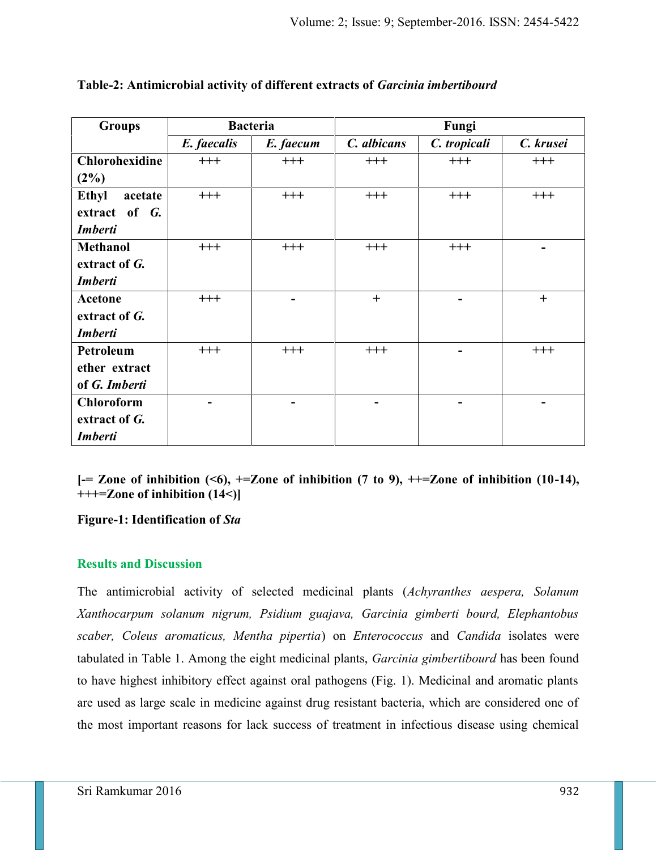| <b>Groups</b>           |             | <b>Bacteria</b> | Fungi       |              |           |  |  |  |  |
|-------------------------|-------------|-----------------|-------------|--------------|-----------|--|--|--|--|
|                         | E. faecalis | E. faecum       | C. albicans | C. tropicali | C. krusei |  |  |  |  |
| <b>Chlorohexidine</b>   | $+++$       | $+++$           | $^{+++}$    | $+++$        | $^{+++}$  |  |  |  |  |
| $(2\%)$                 |             |                 |             |              |           |  |  |  |  |
| <b>Ethyl</b><br>acetate | $+++$       | $+++$           | $+++$       | $+++$        | $+++$     |  |  |  |  |
| extract of G.           |             |                 |             |              |           |  |  |  |  |
| <b>Imberti</b>          |             |                 |             |              |           |  |  |  |  |
| <b>Methanol</b>         | $+++$       | $+++$           | $+++$       | $^{+++}$     |           |  |  |  |  |
| extract of G.           |             |                 |             |              |           |  |  |  |  |
| <b>Imberti</b>          |             |                 |             |              |           |  |  |  |  |
| Acetone                 | $+++$       |                 | $^{+}$      |              | $+$       |  |  |  |  |
| extract of G.           |             |                 |             |              |           |  |  |  |  |
| <b>Imberti</b>          |             |                 |             |              |           |  |  |  |  |
| Petroleum               | $+++$       | $+++$           | $+++$       |              | $+++$     |  |  |  |  |
| ether extract           |             |                 |             |              |           |  |  |  |  |
| of G. Imberti           |             |                 |             |              |           |  |  |  |  |
| <b>Chloroform</b>       |             |                 |             |              |           |  |  |  |  |
| extract of G.           |             |                 |             |              |           |  |  |  |  |
| <b>Imberti</b>          |             |                 |             |              |           |  |  |  |  |

### **Table-2: Antimicrobial activity of different extracts of** *Garcinia imbertibourd*

**[-= Zone of inhibition (<6), +=Zone of inhibition (7 to 9), ++=Zone of inhibition (10-14), +++=Zone of inhibition (14<)]**

### **Figure-1: Identification of** *Sta*

### **Results and Discussion**

The antimicrobial activity of selected medicinal plants (*Achyranthes aespera, Solanum Xanthocarpum solanum nigrum, Psidium guajava, Garcinia gimberti bourd, Elephantobus scaber, Coleus aromaticus, Mentha pipertia*) on *Enterococcus* and *Candida* isolates were tabulated in Table 1. Among the eight medicinal plants, *Garcinia gimbertibourd* has been found to have highest inhibitory effect against oral pathogens (Fig. 1). Medicinal and aromatic plants are used as large scale in medicine against drug resistant bacteria, which are considered one of the most important reasons for lack success of treatment in infectious disease using chemical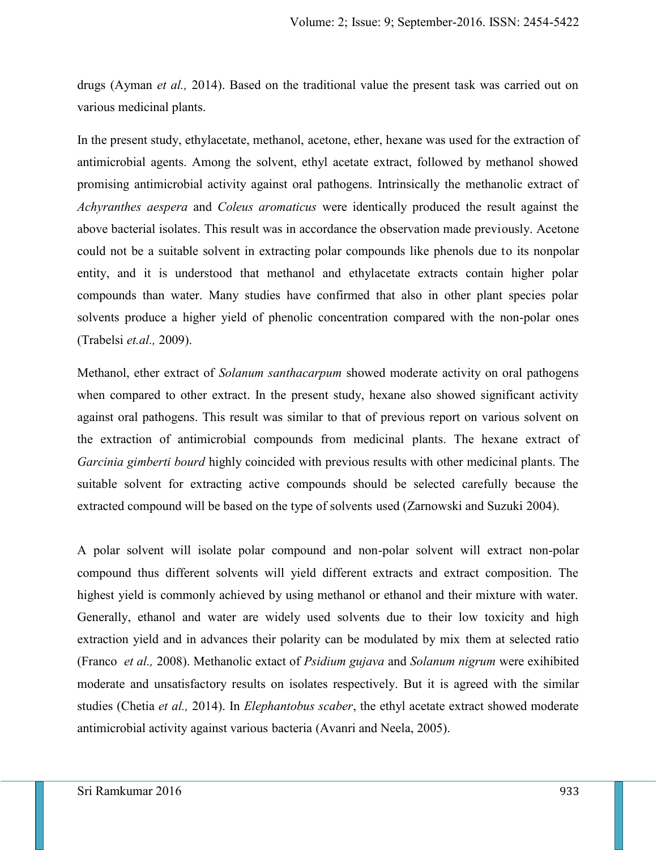drugs (Ayman *et al.,* 2014). Based on the traditional value the present task was carried out on various medicinal plants.

In the present study, ethylacetate, methanol, acetone, ether, hexane was used for the extraction of antimicrobial agents. Among the solvent, ethyl acetate extract, followed by methanol showed promising antimicrobial activity against oral pathogens. Intrinsically the methanolic extract of *Achyranthes aespera* and *Coleus aromaticus* were identically produced the result against the above bacterial isolates. This result was in accordance the observation made previously. Acetone could not be a suitable solvent in extracting polar compounds like phenols due to its nonpolar entity, and it is understood that methanol and ethylacetate extracts contain higher polar compounds than water. Many studies have confirmed that also in other plant species polar solvents produce a higher yield of phenolic concentration compared with the non-polar ones (Trabelsi *et.al.,* 2009).

Methanol, ether extract of *Solanum santhacarpum* showed moderate activity on oral pathogens when compared to other extract. In the present study, hexane also showed significant activity against oral pathogens. This result was similar to that of previous report on various solvent on the extraction of antimicrobial compounds from medicinal plants. The hexane extract of *Garcinia gimberti bourd* highly coincided with previous results with other medicinal plants. The suitable solvent for extracting active compounds should be selected carefully because the extracted compound will be based on the type of solvents used (Zarnowski and Suzuki 2004).

A polar solvent will isolate polar compound and non-polar solvent will extract non-polar compound thus different solvents will yield different extracts and extract composition. The highest yield is commonly achieved by using methanol or ethanol and their mixture with water. Generally, ethanol and water are widely used solvents due to their low toxicity and high extraction yield and in advances their polarity can be modulated by mix them at selected ratio (Franco *et al.,* 2008). Methanolic extact of *Psidium gujava* and *Solanum nigrum* were exihibited moderate and unsatisfactory results on isolates respectively. But it is agreed with the similar studies (Chetia *et al.,* 2014). In *Elephantobus scaber*, the ethyl acetate extract showed moderate antimicrobial activity against various bacteria (Avanri and Neela, 2005).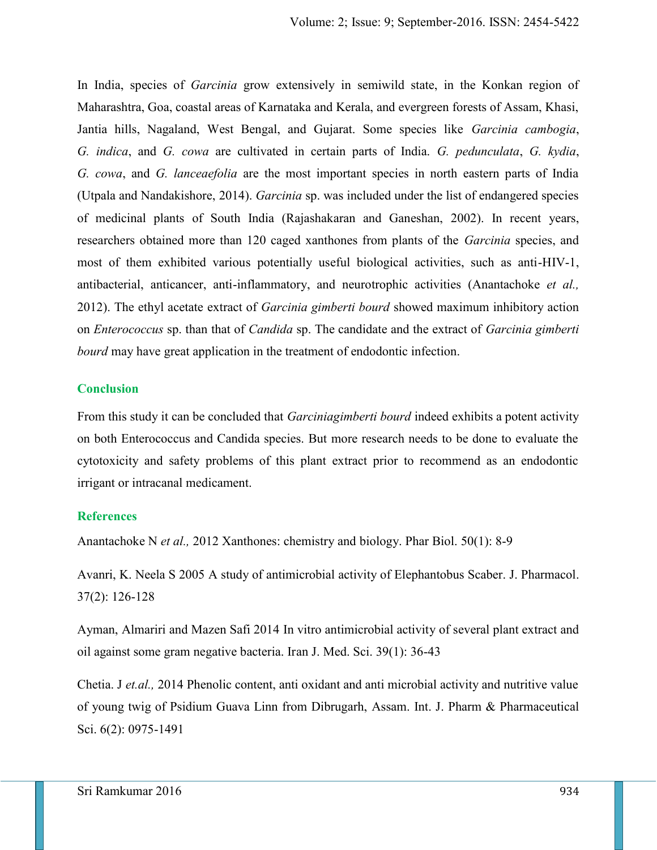In India, species of *Garcinia* grow extensively in semiwild state, in the Konkan region of Maharashtra, Goa, coastal areas of Karnataka and Kerala, and evergreen forests of Assam, Khasi, Jantia hills, Nagaland, West Bengal, and Gujarat. Some species like *Garcinia cambogia*, *G. indica*, and *G. cowa* are cultivated in certain parts of India. *G. pedunculata*, *G. kydia*, *G. cowa*, and *G. lanceaefolia* are the most important species in north eastern parts of India (Utpala and Nandakishore, 2014). *Garcinia* sp. was included under the list of endangered species of medicinal plants of South India (Rajashakaran and Ganeshan, 2002). In recent years, researchers obtained more than 120 caged xanthones from plants of the *Garcinia* species, and most of them exhibited various potentially useful biological activities, such as anti-HIV-1, antibacterial, anticancer, anti-inflammatory, and neurotrophic activities (Anantachoke *et al.,* 2012). The ethyl acetate extract of *Garcinia gimberti bourd* showed maximum inhibitory action on *Enterococcus* sp. than that of *Candida* sp. The candidate and the extract of *Garcinia gimberti bourd* may have great application in the treatment of endodontic infection.

#### **Conclusion**

From this study it can be concluded that *Garciniagimberti bourd* indeed exhibits a potent activity on both Enterococcus and Candida species. But more research needs to be done to evaluate the cytotoxicity and safety problems of this plant extract prior to recommend as an endodontic irrigant or intracanal medicament.

#### **References**

Anantachoke N *et al.,* 2012 Xanthones: chemistry and biology. Phar Biol. 50(1): 8-9

Avanri, K. Neela S 2005 A study of antimicrobial activity of Elephantobus Scaber. J. Pharmacol. 37(2): 126-128

Ayman, Almariri and Mazen Safi 2014 In vitro antimicrobial activity of several plant extract and oil against some gram negative bacteria. Iran J. Med. Sci. 39(1): 36-43

Chetia. J *et.al.,* 2014 Phenolic content, anti oxidant and anti microbial activity and nutritive value of young twig of Psidium Guava Linn from Dibrugarh, Assam. Int. J. Pharm & Pharmaceutical Sci. 6(2): 0975-1491